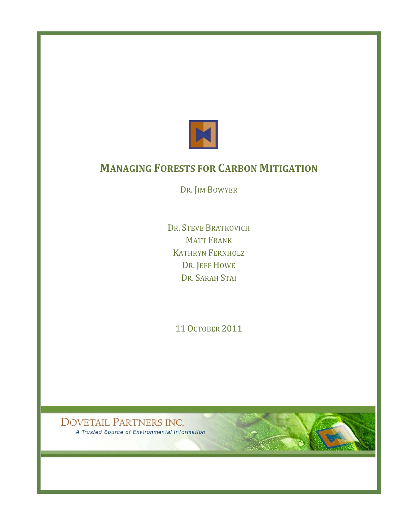

# **MANAGING FORESTS FOR CARBON MITIGATION**

DR. JIM
BOWYER

DR. STEVE BRATKOVICH MATT FRANK KATHRYN
FERNHOLZ DR. JEFF
HOWE DR. SARAH
STAI

11 OCTOBER
2011

**DOVETAIL PARTNERS INC.** A Trusted Source of Environmental Information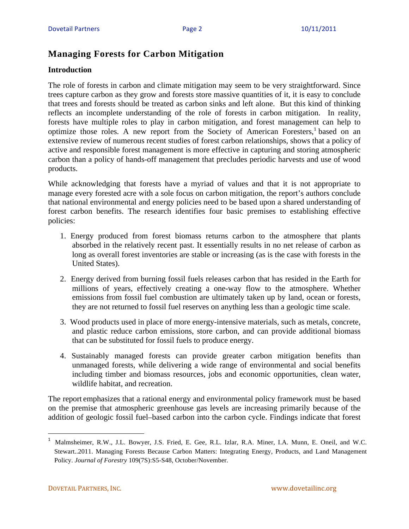# **Managing Forests for Carbon Mitigation**

#### **Introduction**

The role of forests in carbon and climate mitigation may seem to be very straightforward. Since trees capture carbon as they grow and forests store massive quantities of it, it is easy to conclude that trees and forests should be treated as carbon sinks and left alone. But this kind of thinking reflects an incomplete understanding of the role of forests in carbon mitigation. In reality, forests have multiple roles to play in carbon mitigation, and forest management can help to optimize those roles. A new report from the Society of American Foresters,<sup>1</sup> based on an extensive review of numerous recent studies of forest carbon relationships, shows that a policy of active and responsible forest management is more effective in capturing and storing atmospheric carbon than a policy of hands-off management that precludes periodic harvests and use of wood products.

While acknowledging that forests have a myriad of values and that it is not appropriate to manage every forested acre with a sole focus on carbon mitigation, the report's authors conclude that national environmental and energy policies need to be based upon a shared understanding of forest carbon benefits. The research identifies four basic premises to establishing effective policies:

- 1. Energy produced from forest biomass returns carbon to the atmosphere that plants absorbed in the relatively recent past. It essentially results in no net release of carbon as long as overall forest inventories are stable or increasing (as is the case with forests in the United States).
- 2. Energy derived from burning fossil fuels releases carbon that has resided in the Earth for millions of years, effectively creating a one-way flow to the atmosphere. Whether emissions from fossil fuel combustion are ultimately taken up by land, ocean or forests, they are not returned to fossil fuel reserves on anything less than a geologic time scale.
- 3. Wood products used in place of more energy-intensive materials, such as metals, concrete, and plastic reduce carbon emissions, store carbon, and can provide additional biomass that can be substituted for fossil fuels to produce energy.
- 4. Sustainably managed forests can provide greater carbon mitigation benefits than unmanaged forests, while delivering a wide range of environmental and social benefits including timber and biomass resources, jobs and economic opportunities, clean water, wildlife habitat, and recreation.

The report emphasizes that a rational energy and environmental policy framework must be based on the premise that atmospheric greenhouse gas levels are increasing primarily because of the addition of geologic fossil fuel–based carbon into the carbon cycle. Findings indicate that forest

<sup>1</sup> Malmsheimer, R.W., J.L. Bowyer, J.S. Fried, E. Gee, R.L. Izlar, R.A. Miner, I.A. Munn, E. Oneil, and W.C. Stewart..2011. Managing Forests Because Carbon Matters: Integrating Energy, Products, and Land Management Policy. *Journal of Forestry* 109(7S):S5-S48, October/November.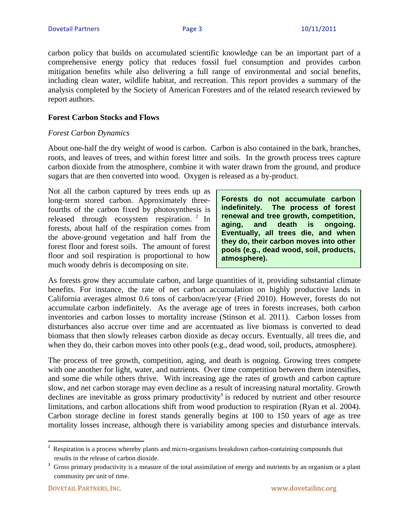carbon policy that builds on accumulated scientific knowledge can be an important part of a comprehensive energy policy that reduces fossil fuel consumption and provides carbon mitigation benefits while also delivering a full range of environmental and social benefits, including clean water, wildlife habitat, and recreation. This report provides a summary of the analysis completed by the Society of American Foresters and of the related research reviewed by report authors.

#### **Forest Carbon Stocks and Flows**

#### *Forest Carbon Dynamics*

About one-half the dry weight of wood is carbon. Carbon is also contained in the bark, branches, roots, and leaves of trees, and within forest litter and soils. In the growth process trees capture carbon dioxide from the atmosphere, combine it with water drawn from the ground, and produce sugars that are then converted into wood. Oxygen is released as a by-product.

Not all the carbon captured by trees ends up as long-term stored carbon. Approximately threefourths of the carbon fixed by photosynthesis is released through ecosystem respiration.<sup>2</sup> In forests, about half of the respiration comes from the above-ground vegetation and half from the forest floor and forest soils. The amount of forest floor and soil respiration is proportional to how much woody debris is decomposing on site.

**Forests do not accumulate carbon indefinitely. The process of forest renewal and tree growth, competition, aging, and death is ongoing. Eventually, all trees die, and when they do, their carbon moves into other pools (e.g., dead wood, soil, products, atmosphere).** 

As forests grow they accumulate carbon, and large quantities of it, providing substantial climate benefits. For instance, the rate of net carbon accumulation on highly productive lands in California averages almost 0.6 tons of carbon/acre/year (Fried 2010). However, forests do not accumulate carbon indefinitely. As the average age of trees in forests increases, both carbon inventories and carbon losses to mortality increase (Stinson et al. 2011). Carbon losses from disturbances also accrue over time and are accentuated as live biomass is converted to dead biomass that then slowly releases carbon dioxide as decay occurs. Eventually, all trees die, and when they do, their carbon moves into other pools (e.g., dead wood, soil, products, atmosphere).

The process of tree growth, competition, aging, and death is ongoing. Growing trees compete with one another for light, water, and nutrients. Over time competition between them intensifies, and some die while others thrive. With increasing age the rates of growth and carbon capture slow, and net carbon storage may even decline as a result of increasing natural mortality. Growth declines are inevitable as gross primary productivity<sup>3</sup> is reduced by nutrient and other resource limitations, and carbon allocations shift from wood production to respiration (Ryan et al. 2004). Carbon storage decline in forest stands generally begins at 100 to 150 years of age as tree mortality losses increase, although there is variability among species and disturbance intervals.

<u> 1989 - Johann Stein, fransk politik (d. 1989)</u>

<sup>&</sup>lt;sup>2</sup> Respiration is a process whereby plants and micro-organisms breakdown carbon-containing compounds that results in the release of carbon dioxide.

<sup>&</sup>lt;sup>3</sup> Gross primary productivity is a measure of the total assimilation of energy and nutrients by an organism or a plant community per unit of time.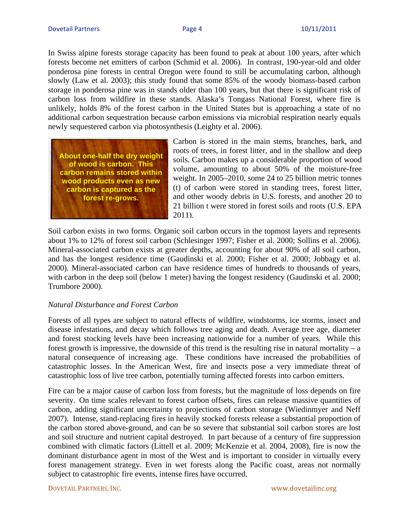In Swiss alpine forests storage capacity has been found to peak at about 100 years, after which forests become net emitters of carbon (Schmid et al. 2006). In contrast, 190-year-old and older ponderosa pine forests in central Oregon were found to still be accumulating carbon, although slowly (Law et al. 2003); this study found that some 85% of the woody biomass-based carbon storage in ponderosa pine was in stands older than 100 years, but that there is significant risk of carbon loss from wildfire in these stands. Alaska's Tongass National Forest, where fire is unlikely, holds 8% of the forest carbon in the United States but is approaching a state of no additional carbon sequestration because carbon emissions via microbial respiration nearly equals newly sequestered carbon via photosynthesis (Leighty et al. 2006).

**About one-half the dry weight of wood is carbon. This carbon remains stored within wood products even as new carbon is captured as the forest re-grows.**

Carbon is stored in the main stems, branches, bark, and roots of trees, in forest litter, and in the shallow and deep soils. Carbon makes up a considerable proportion of wood volume, amounting to about 50% of the moisture-free weight. In 2005–2010, some 24 to 25 billion metric tonnes (t) of carbon were stored in standing trees, forest litter, and other woody debris in U.S. forests, and another 20 to 21 billion t were stored in forest soils and roots (U.S. EPA 2011).

Soil carbon exists in two forms. Organic soil carbon occurs in the topmost layers and represents about 1% to 12% of forest soil carbon (Schlesinger 1997; Fisher et al. 2000; Sollins et al. 2006). Mineral-associated carbon exists at greater depths, accounting for about 90% of all soil carbon, and has the longest residence time (Gaudinski et al. 2000; Fisher et al. 2000; Jobbagy et al. 2000). Mineral-associated carbon can have residence times of hundreds to thousands of years, with carbon in the deep soil (below 1 meter) having the longest residency (Gaudinski et al. 2000; Trumbore 2000).

#### *Natural Disturbance and Forest Carbon*

Forests of all types are subject to natural effects of wildfire, windstorms, ice storms, insect and disease infestations, and decay which follows tree aging and death. Average tree age, diameter and forest stocking levels have been increasing nationwide for a number of years. While this forest growth is impressive, the downside of this trend is the resulting rise in natural mortality – a natural consequence of increasing age. These conditions have increased the probabilities of catastrophic losses. In the American West, fire and insects pose a very immediate threat of catastrophic loss of live tree carbon, potentially turning affected forests into carbon emitters.

Fire can be a major cause of carbon loss from forests, but the magnitude of loss depends on fire severity. On time scales relevant to forest carbon offsets, fires can release massive quantities of carbon, adding significant uncertainty to projections of carbon storage (Wiedinmyer and Neff 2007). Intense, stand-replacing fires in heavily stocked forests release a substantial proportion of the carbon stored above-ground, and can be so severe that substantial soil carbon stores are lost and soil structure and nutrient capital destroyed. In part because of a century of fire suppression combined with climatic factors (Littell et al. 2009; McKenzie et al. 2004, 2008), fire is now the dominant disturbance agent in most of the West and is important to consider in virtually every forest management strategy. Even in wet forests along the Pacific coast, areas not normally subject to catastrophic fire events, intense fires have occurred.

DOVETAIL
PARTNERS, INC. www.dovetailinc.org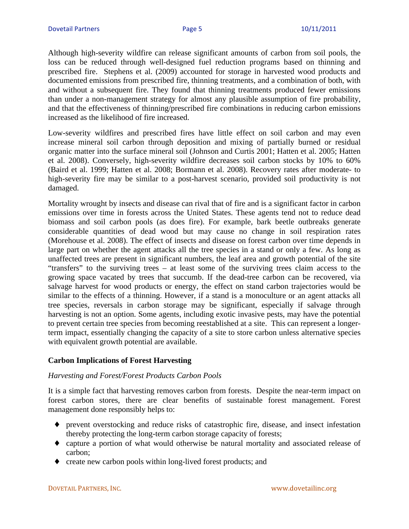Although high-severity wildfire can release significant amounts of carbon from soil pools, the loss can be reduced through well-designed fuel reduction programs based on thinning and prescribed fire. Stephens et al. (2009) accounted for storage in harvested wood products and documented emissions from prescribed fire, thinning treatments, and a combination of both, with and without a subsequent fire. They found that thinning treatments produced fewer emissions than under a non-management strategy for almost any plausible assumption of fire probability, and that the effectiveness of thinning/prescribed fire combinations in reducing carbon emissions increased as the likelihood of fire increased.

Low-severity wildfires and prescribed fires have little effect on soil carbon and may even increase mineral soil carbon through deposition and mixing of partially burned or residual organic matter into the surface mineral soil (Johnson and Curtis 2001; Hatten et al. 2005; Hatten et al. 2008). Conversely, high-severity wildfire decreases soil carbon stocks by 10% to 60% (Baird et al. 1999; Hatten et al. 2008; Bormann et al. 2008). Recovery rates after moderate- to high-severity fire may be similar to a post-harvest scenario, provided soil productivity is not damaged.

Mortality wrought by insects and disease can rival that of fire and is a significant factor in carbon emissions over time in forests across the United States. These agents tend not to reduce dead biomass and soil carbon pools (as does fire). For example, bark beetle outbreaks generate considerable quantities of dead wood but may cause no change in soil respiration rates (Morehouse et al. 2008). The effect of insects and disease on forest carbon over time depends in large part on whether the agent attacks all the tree species in a stand or only a few. As long as unaffected trees are present in significant numbers, the leaf area and growth potential of the site "transfers" to the surviving trees – at least some of the surviving trees claim access to the growing space vacated by trees that succumb. If the dead-tree carbon can be recovered, via salvage harvest for wood products or energy, the effect on stand carbon trajectories would be similar to the effects of a thinning. However, if a stand is a monoculture or an agent attacks all tree species, reversals in carbon storage may be significant, especially if salvage through harvesting is not an option. Some agents, including exotic invasive pests, may have the potential to prevent certain tree species from becoming reestablished at a site. This can represent a longerterm impact, essentially changing the capacity of a site to store carbon unless alternative species with equivalent growth potential are available.

#### **Carbon Implications of Forest Harvesting**

#### *Harvesting and Forest/Forest Products Carbon Pools*

It is a simple fact that harvesting removes carbon from forests. Despite the near-term impact on forest carbon stores, there are clear benefits of sustainable forest management. Forest management done responsibly helps to:

- ♦ prevent overstocking and reduce risks of catastrophic fire, disease, and insect infestation thereby protecting the long-term carbon storage capacity of forests;
- ♦ capture a portion of what would otherwise be natural mortality and associated release of carbon;
- ♦ create new carbon pools within long-lived forest products; and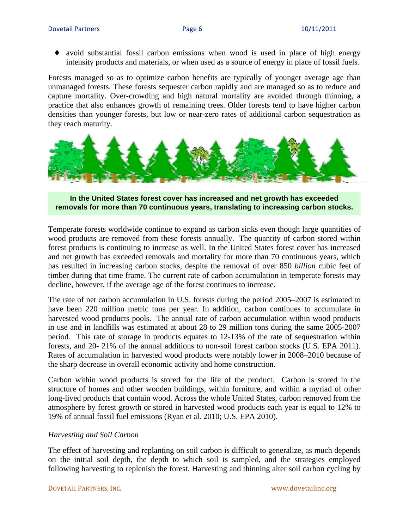♦ avoid substantial fossil carbon emissions when wood is used in place of high energy intensity products and materials, or when used as a source of energy in place of fossil fuels.

Forests managed so as to optimize carbon benefits are typically of younger average age than unmanaged forests. These forests sequester carbon rapidly and are managed so as to reduce and capture mortality. Over-crowding and high natural mortality are avoided through thinning, a practice that also enhances growth of remaining trees. Older forests tend to have higher carbon densities than younger forests, but low or near-zero rates of additional carbon sequestration as they reach maturity.



**In the United States forest cover has increased and net growth has exceeded removals for more than 70 continuous years, translating to increasing carbon stocks.**

Temperate forests worldwide continue to expand as carbon sinks even though large quantities of wood products are removed from these forests annually. The quantity of carbon stored within forest products is continuing to increase as well. In the United States forest cover has increased and net growth has exceeded removals and mortality for more than 70 continuous years, which has resulted in increasing carbon stocks, despite the removal of over 850 *billion* cubic feet of timber during that time frame. The current rate of carbon accumulation in temperate forests may decline, however, if the average age of the forest continues to increase.

The rate of net carbon accumulation in U.S. forests during the period 2005–2007 is estimated to have been 220 million metric tons per year. In addition, carbon continues to accumulate in harvested wood products pools. The annual rate of carbon accumulation within wood products in use and in landfills was estimated at about 28 to 29 million tons during the same 2005-2007 period. This rate of storage in products equates to 12-13% of the rate of sequestration within forests, and 20- 21% of the annual additions to non-soil forest carbon stocks (U.S. EPA 2011). Rates of accumulation in harvested wood products were notably lower in 2008–2010 because of the sharp decrease in overall economic activity and home construction.

Carbon within wood products is stored for the life of the product. Carbon is stored in the structure of homes and other wooden buildings, within furniture, and within a myriad of other long-lived products that contain wood. Across the whole United States, carbon removed from the atmosphere by forest growth or stored in harvested wood products each year is equal to 12% to 19% of annual fossil fuel emissions (Ryan et al. 2010; U.S. EPA 2010).

#### *Harvesting and Soil Carbon*

The effect of harvesting and replanting on soil carbon is difficult to generalize, as much depends on the initial soil depth, the depth to which soil is sampled, and the strategies employed following harvesting to replenish the forest. Harvesting and thinning alter soil carbon cycling by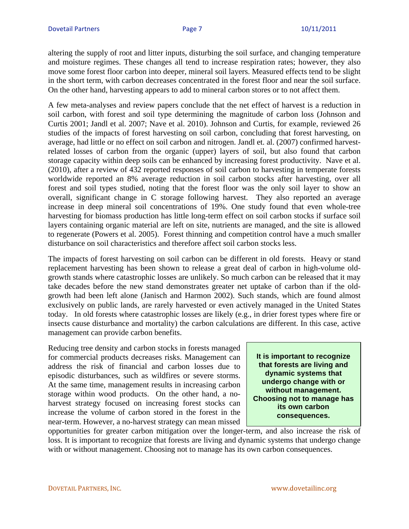altering the supply of root and litter inputs, disturbing the soil surface, and changing temperature and moisture regimes. These changes all tend to increase respiration rates; however, they also move some forest floor carbon into deeper, mineral soil layers. Measured effects tend to be slight in the short term, with carbon decreases concentrated in the forest floor and near the soil surface. On the other hand, harvesting appears to add to mineral carbon stores or to not affect them.

A few meta-analyses and review papers conclude that the net effect of harvest is a reduction in soil carbon, with forest and soil type determining the magnitude of carbon loss (Johnson and Curtis 2001; Jandl et al. 2007; Nave et al. 2010). Johnson and Curtis, for example, reviewed 26 studies of the impacts of forest harvesting on soil carbon, concluding that forest harvesting, on average, had little or no effect on soil carbon and nitrogen. Jandl et. al. (2007) confirmed harvestrelated losses of carbon from the organic (upper) layers of soil, but also found that carbon storage capacity within deep soils can be enhanced by increasing forest productivity. Nave et al. (2010), after a review of 432 reported responses of soil carbon to harvesting in temperate forests worldwide reported an 8% average reduction in soil carbon stocks after harvesting, over all forest and soil types studied, noting that the forest floor was the only soil layer to show an overall, significant change in C storage following harvest. They also reported an average increase in deep mineral soil concentrations of 19%. One study found that even whole-tree harvesting for biomass production has little long-term effect on soil carbon stocks if surface soil layers containing organic material are left on site, nutrients are managed, and the site is allowed to regenerate (Powers et al. 2005). Forest thinning and competition control have a much smaller disturbance on soil characteristics and therefore affect soil carbon stocks less.

The impacts of forest harvesting on soil carbon can be different in old forests. Heavy or stand replacement harvesting has been shown to release a great deal of carbon in high-volume oldgrowth stands where catastrophic losses are unlikely. So much carbon can be released that it may take decades before the new stand demonstrates greater net uptake of carbon than if the oldgrowth had been left alone (Janisch and Harmon 2002). Such stands, which are found almost exclusively on public lands, are rarely harvested or even actively managed in the United States today. In old forests where catastrophic losses are likely (e.g., in drier forest types where fire or insects cause disturbance and mortality) the carbon calculations are different. In this case, active management can provide carbon benefits.

Reducing tree density and carbon stocks in forests managed for commercial products decreases risks. Management can address the risk of financial and carbon losses due to episodic disturbances, such as wildfires or severe storms. At the same time, management results in increasing carbon storage within wood products. On the other hand, a noharvest strategy focused on increasing forest stocks can increase the volume of carbon stored in the forest in the near-term. However, a no-harvest strategy can mean missed

**It is important to recognize that forests are living and dynamic systems that undergo change with or without management. Choosing not to manage has its own carbon consequences.**

opportunities for greater carbon mitigation over the longer-term, and also increase the risk of loss. It is important to recognize that forests are living and dynamic systems that undergo change with or without management. Choosing not to manage has its own carbon consequences.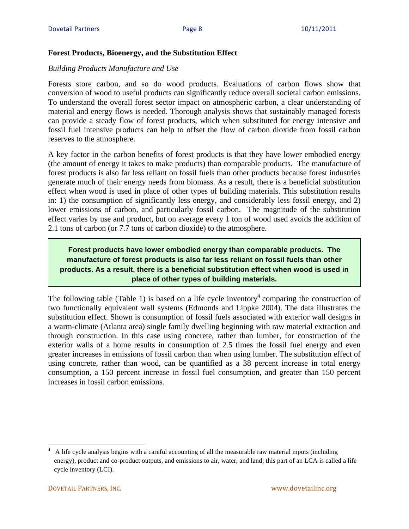#### **Forest Products, Bioenergy, and the Substitution Effect**

#### *Building Products Manufacture and Use*

Forests store carbon, and so do wood products. Evaluations of carbon flows show that conversion of wood to useful products can significantly reduce overall societal carbon emissions. To understand the overall forest sector impact on atmospheric carbon, a clear understanding of material and energy flows is needed. Thorough analysis shows that sustainably managed forests can provide a steady flow of forest products, which when substituted for energy intensive and fossil fuel intensive products can help to offset the flow of carbon dioxide from fossil carbon reserves to the atmosphere.

A key factor in the carbon benefits of forest products is that they have lower embodied energy (the amount of energy it takes to make products) than comparable products. The manufacture of forest products is also far less reliant on fossil fuels than other products because forest industries generate much of their energy needs from biomass. As a result, there is a beneficial substitution effect when wood is used in place of other types of building materials. This substitution results in: 1) the consumption of significantly less energy, and considerably less fossil energy, and 2) lower emissions of carbon, and particularly fossil carbon. The magnitude of the substitution effect varies by use and product, but on average every 1 ton of wood used avoids the addition of 2.1 tons of carbon (or 7.7 tons of carbon dioxide) to the atmosphere.

**Forest products have lower embodied energy than comparable products. The manufacture of forest products is also far less reliant on fossil fuels than other products. As a result, there is a beneficial substitution effect when wood is used in place of other types of building materials.**

The following table (Table 1) is based on a life cycle inventory<sup>4</sup> comparing the construction of two functionally equivalent wall systems (Edmonds and Lippke 2004). The data illustrates the substitution effect. Shown is consumption of fossil fuels associated with exterior wall designs in a warm-climate (Atlanta area) single family dwelling beginning with raw material extraction and through construction. In this case using concrete, rather than lumber, for construction of the exterior walls of a home results in consumption of 2.5 times the fossil fuel energy and even greater increases in emissions of fossil carbon than when using lumber. The substitution effect of using concrete, rather than wood, can be quantified as a 38 percent increase in total energy consumption, a 150 percent increase in fossil fuel consumption, and greater than 150 percent increases in fossil carbon emissions.

<u> 1989 - Johann Stein, fransk politik (d. 1989)</u>

<sup>4</sup> A life cycle analysis begins with a careful accounting of all the measurable raw material inputs (including energy), product and co-product outputs, and emissions to air, water, and land; this part of an LCA is called a life cycle inventory (LCI).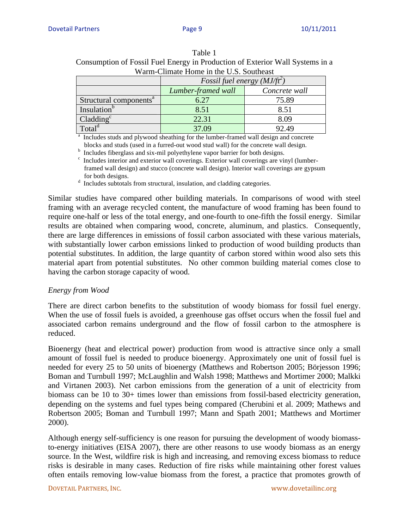|                                    |                                         | Consumption of Fossil F act Energy in Froduction of EXICHOL Wall Dystems in $C$ |
|------------------------------------|-----------------------------------------|---------------------------------------------------------------------------------|
|                                    | Warm-Climate Home in the U.S. Southeast |                                                                                 |
|                                    | <i>Fossil fuel energy</i> $(MJ/ft^2)$   |                                                                                 |
|                                    | Lumber-framed wall                      | Concrete wall                                                                   |
| Structural components <sup>a</sup> | 6.27                                    | 75.89                                                                           |
| Insulation <sup>b</sup>            | 8.51                                    | 8.51                                                                            |
| Cladding <sup>c</sup>              | 22.31                                   | 8.09                                                                            |
| Total <sup>d</sup>                 | 37.09                                   | 92.49                                                                           |

| Table 1                                                                       |
|-------------------------------------------------------------------------------|
| Consumption of Fossil Fuel Energy in Production of Exterior Wall Systems in a |
| Warm-Climate Home in the U.S. Southeast                                       |

Includes studs and plywood sheathing for the lumber-framed wall design and concrete blocks and studs (used in a furred-out wood stud wall) for the concrete wall design.<br><sup>b</sup> Includes fiberglass and six-mil polyethylene vapor barrier for both designs.

Includes interior and exterior wall coverings. Exterior wall coverings are vinyl (lumberframed wall design) and stucco (concrete wall design). Interior wall coverings are gypsum

for both designs.<br> $d$  Includes subtotals from structural, insulation, and cladding categories.

Similar studies have compared other building materials. In comparisons of wood with steel framing with an average recycled content, the manufacture of wood framing has been found to require one-half or less of the total energy, and one-fourth to one-fifth the fossil energy. Similar results are obtained when comparing wood, concrete, aluminum, and plastics. Consequently, there are large differences in emissions of fossil carbon associated with these various materials, with substantially lower carbon emissions linked to production of wood building products than potential substitutes. In addition, the large quantity of carbon stored within wood also sets this material apart from potential substitutes. No other common building material comes close to having the carbon storage capacity of wood.

#### *Energy from Wood*

There are direct carbon benefits to the substitution of woody biomass for fossil fuel energy. When the use of fossil fuels is avoided, a greenhouse gas offset occurs when the fossil fuel and associated carbon remains underground and the flow of fossil carbon to the atmosphere is reduced.

Bioenergy (heat and electrical power) production from wood is attractive since only a small amount of fossil fuel is needed to produce bioenergy. Approximately one unit of fossil fuel is needed for every 25 to 50 units of bioenergy (Matthews and Robertson 2005; Börjesson 1996; Boman and Turnbull 1997; McLaughlin and Walsh 1998; Matthews and Mortimer 2000; Malkki and Virtanen 2003). Net carbon emissions from the generation of a unit of electricity from biomass can be 10 to 30+ times lower than emissions from fossil-based electricity generation, depending on the systems and fuel types being compared (Cherubini et al. 2009; Mathews and Robertson 2005; Boman and Turnbull 1997; Mann and Spath 2001; Matthews and Mortimer 2000).

Although energy self-sufficiency is one reason for pursuing the development of woody biomassto-energy initiatives (EISA 2007), there are other reasons to use woody biomass as an energy source. In the West, wildfire risk is high and increasing, and removing excess biomass to reduce risks is desirable in many cases. Reduction of fire risks while maintaining other forest values often entails removing low-value biomass from the forest, a practice that promotes growth of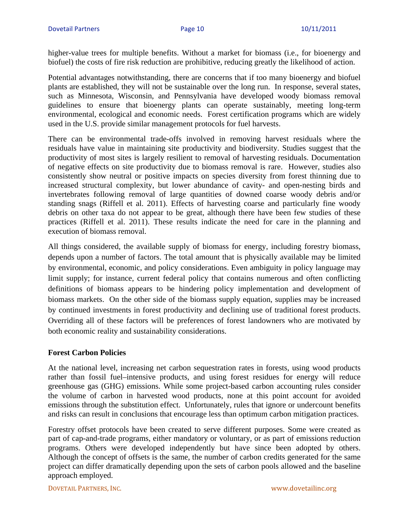higher-value trees for multiple benefits. Without a market for biomass (i.e., for bioenergy and biofuel) the costs of fire risk reduction are prohibitive, reducing greatly the likelihood of action.

Potential advantages notwithstanding, there are concerns that if too many bioenergy and biofuel plants are established, they will not be sustainable over the long run. In response, several states, such as Minnesota, Wisconsin, and Pennsylvania have developed woody biomass removal guidelines to ensure that bioenergy plants can operate sustainably, meeting long-term environmental, ecological and economic needs. Forest certification programs which are widely used in the U.S. provide similar management protocols for fuel harvests.

There can be environmental trade-offs involved in removing harvest residuals where the residuals have value in maintaining site productivity and biodiversity. Studies suggest that the productivity of most sites is largely resilient to removal of harvesting residuals. Documentation of negative effects on site productivity due to biomass removal is rare. However, studies also consistently show neutral or positive impacts on species diversity from forest thinning due to increased structural complexity, but lower abundance of cavity- and open-nesting birds and invertebrates following removal of large quantities of downed coarse woody debris and/or standing snags (Riffell et al. 2011). Effects of harvesting coarse and particularly fine woody debris on other taxa do not appear to be great, although there have been few studies of these practices (Riffell et al. 2011). These results indicate the need for care in the planning and execution of biomass removal.

All things considered, the available supply of biomass for energy, including forestry biomass, depends upon a number of factors. The total amount that is physically available may be limited by environmental, economic, and policy considerations. Even ambiguity in policy language may limit supply; for instance, current federal policy that contains numerous and often conflicting definitions of biomass appears to be hindering policy implementation and development of biomass markets. On the other side of the biomass supply equation, supplies may be increased by continued investments in forest productivity and declining use of traditional forest products. Overriding all of these factors will be preferences of forest landowners who are motivated by both economic reality and sustainability considerations.

#### **Forest Carbon Policies**

At the national level, increasing net carbon sequestration rates in forests, using wood products rather than fossil fuel–intensive products, and using forest residues for energy will reduce greenhouse gas (GHG) emissions. While some project-based carbon accounting rules consider the volume of carbon in harvested wood products, none at this point account for avoided emissions through the substitution effect. Unfortunately, rules that ignore or undercount benefits and risks can result in conclusions that encourage less than optimum carbon mitigation practices.

Forestry offset protocols have been created to serve different purposes. Some were created as part of cap-and-trade programs, either mandatory or voluntary, or as part of emissions reduction programs. Others were developed independently but have since been adopted by others. Although the concept of offsets is the same, the number of carbon credits generated for the same project can differ dramatically depending upon the sets of carbon pools allowed and the baseline approach employed.

DOVETAIL
PARTNERS, INC. www.dovetailinc.org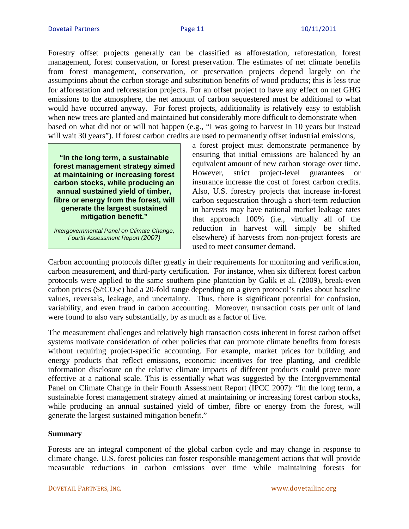Forestry offset projects generally can be classified as afforestation, reforestation, forest management, forest conservation, or forest preservation. The estimates of net climate benefits from forest management, conservation, or preservation projects depend largely on the assumptions about the carbon storage and substitution benefits of wood products; this is less true for afforestation and reforestation projects. For an offset project to have any effect on net GHG emissions to the atmosphere, the net amount of carbon sequestered must be additional to what would have occurred anyway. For forest projects, additionality is relatively easy to establish when new trees are planted and maintained but considerably more difficult to demonstrate when based on what did not or will not happen (e.g., "I was going to harvest in 10 years but instead will wait 30 years"). If forest carbon credits are used to permanently offset industrial emissions,

**"In the long term, a sustainable forest management strategy aimed at maintaining or increasing forest carbon stocks, while producing an annual sustained yield of timber, fibre or energy from the forest, will generate the largest sustained mitigation benefit."**

*Intergovernmental Panel on Climate Change, Fourth Assessment Report (2007)*

a forest project must demonstrate permanence by ensuring that initial emissions are balanced by an equivalent amount of new carbon storage over time. However, strict project-level guarantees or insurance increase the cost of forest carbon credits. Also, U.S. forestry projects that increase in-forest carbon sequestration through a short-term reduction in harvests may have national market leakage rates that approach 100% (i.e., virtually all of the reduction in harvest will simply be shifted elsewhere) if harvests from non-project forests are used to meet consumer demand.

Carbon accounting protocols differ greatly in their requirements for monitoring and verification, carbon measurement, and third-party certification. For instance, when six different forest carbon protocols were applied to the same southern pine plantation by Galik et al. (2009), break-even carbon prices ( $\frac{\sqrt{2}}{2}$ ) had a 20-fold range depending on a given protocol's rules about baseline values, reversals, leakage, and uncertainty. Thus, there is significant potential for confusion, variability, and even fraud in carbon accounting. Moreover, transaction costs per unit of land were found to also vary substantially, by as much as a factor of five.

The measurement challenges and relatively high transaction costs inherent in forest carbon offset systems motivate consideration of other policies that can promote climate benefits from forests without requiring project-specific accounting. For example, market prices for building and energy products that reflect emissions, economic incentives for tree planting, and credible information disclosure on the relative climate impacts of different products could prove more effective at a national scale. This is essentially what was suggested by the Intergovernmental Panel on Climate Change in their Fourth Assessment Report (IPCC 2007): "In the long term, a sustainable forest management strategy aimed at maintaining or increasing forest carbon stocks, while producing an annual sustained yield of timber, fibre or energy from the forest, will generate the largest sustained mitigation benefit."

#### **Summary**

Forests are an integral component of the global carbon cycle and may change in response to climate change. U.S. forest policies can foster responsible management actions that will provide measurable reductions in carbon emissions over time while maintaining forests for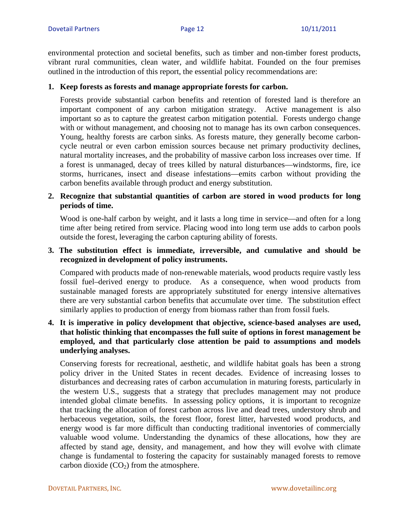environmental protection and societal benefits, such as timber and non-timber forest products, vibrant rural communities, clean water, and wildlife habitat. Founded on the four premises outlined in the introduction of this report, the essential policy recommendations are:

#### **1. Keep forests as forests and manage appropriate forests for carbon.**

Forests provide substantial carbon benefits and retention of forested land is therefore an important component of any carbon mitigation strategy. Active management is also important so as to capture the greatest carbon mitigation potential. Forests undergo change with or without management, and choosing not to manage has its own carbon consequences. Young, healthy forests are carbon sinks. As forests mature, they generally become carboncycle neutral or even carbon emission sources because net primary productivity declines, natural mortality increases, and the probability of massive carbon loss increases over time. If a forest is unmanaged, decay of trees killed by natural disturbances—windstorms, fire, ice storms, hurricanes, insect and disease infestations—emits carbon without providing the carbon benefits available through product and energy substitution.

#### **2. Recognize that substantial quantities of carbon are stored in wood products for long periods of time.**

Wood is one-half carbon by weight, and it lasts a long time in service—and often for a long time after being retired from service. Placing wood into long term use adds to carbon pools outside the forest, leveraging the carbon capturing ability of forests.

#### **3. The substitution effect is immediate, irreversible, and cumulative and should be recognized in development of policy instruments.**

Compared with products made of non-renewable materials, wood products require vastly less fossil fuel–derived energy to produce. As a consequence, when wood products from sustainable managed forests are appropriately substituted for energy intensive alternatives there are very substantial carbon benefits that accumulate over time. The substitution effect similarly applies to production of energy from biomass rather than from fossil fuels.

#### **4. It is imperative in policy development that objective, science-based analyses are used, that holistic thinking that encompasses the full suite of options in forest management be employed, and that particularly close attention be paid to assumptions and models underlying analyses.**

Conserving forests for recreational, aesthetic, and wildlife habitat goals has been a strong policy driver in the United States in recent decades. Evidence of increasing losses to disturbances and decreasing rates of carbon accumulation in maturing forests, particularly in the western U.S., suggests that a strategy that precludes management may not produce intended global climate benefits. In assessing policy options, it is important to recognize that tracking the allocation of forest carbon across live and dead trees, understory shrub and herbaceous vegetation, soils, the forest floor, forest litter, harvested wood products, and energy wood is far more difficult than conducting traditional inventories of commercially valuable wood volume. Understanding the dynamics of these allocations, how they are affected by stand age, density, and management, and how they will evolve with climate change is fundamental to fostering the capacity for sustainably managed forests to remove carbon dioxide  $(CO_2)$  from the atmosphere.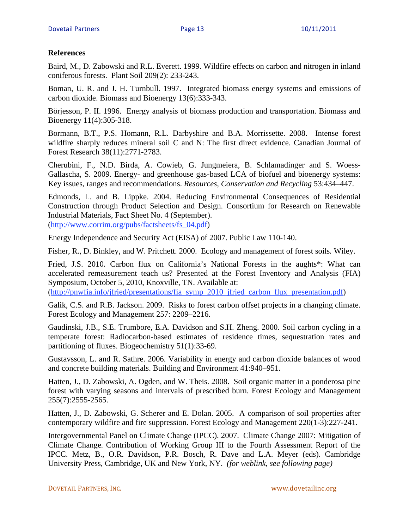#### **References**

Baird, M., D. Zabowski and R.L. Everett. 1999. Wildfire effects on carbon and nitrogen in inland coniferous forests. Plant Soil 209(2): 233-243.

Boman, U. R. and J. H. Turnbull. 1997. Integrated biomass energy systems and emissions of carbon dioxide. Biomass and Bioenergy 13(6):333-343.

Börjesson, P. II. 1996. Energy analysis of biomass production and transportation. Biomass and Bioenergy 11(4):305-318.

Bormann, B.T., P.S. Homann, R.L. Darbyshire and B.A. Morrissette. 2008. Intense forest wildfire sharply reduces mineral soil C and N: The first direct evidence. Canadian Journal of Forest Research 38(11):2771-2783.

Cherubini, F., N.D. Birda, A. Cowieb, G. Jungmeiera, B. Schlamadinger and S. Woess-Gallascha, S. 2009. Energy- and greenhouse gas-based LCA of biofuel and bioenergy systems: Key issues, ranges and recommendations. *Resources, Conservation and Recycling* 53:434–447.

Edmonds, L. and B. Lippke. 2004. Reducing Environmental Consequences of Residential Construction through Product Selection and Design. Consortium for Research on Renewable Industrial Materials, Fact Sheet No. 4 (September).

(http://www.corrim.org/pubs/factsheets/fs\_04.pdf)

Energy Independence and Security Act (EISA) of 2007. Public Law 110-140.

Fisher, R., D. Binkley, and W. Pritchett. 2000. Ecology and management of forest soils*.* Wiley.

Fried, J.S. 2010. Carbon flux on California's National Forests in the aughts\*: What can accelerated remeasurement teach us? Presented at the Forest Inventory and Analysis (FIA) Symposium, October 5, 2010, Knoxville, TN. Available at:

(http://pnwfia.info/jfried/presentations/fia\_symp\_2010\_jfried\_carbon\_flux\_presentation.pdf)

Galik, C.S. and R.B. Jackson. 2009. Risks to forest carbon offset projects in a changing climate. Forest Ecology and Management 257: 2209–2216.

Gaudinski, J.B., S.E. Trumbore, E.A. Davidson and S.H. Zheng. 2000. Soil carbon cycling in a temperate forest: Radiocarbon-based estimates of residence times, sequestration rates and partitioning of fluxes. Biogeochemistry 51(1):33-69.

Gustavsson, L. and R. Sathre. 2006. Variability in energy and carbon dioxide balances of wood and concrete building materials. Building and Environment 41:940–951.

Hatten, J., D. Zabowski, A. Ogden, and W. Theis. 2008. Soil organic matter in a ponderosa pine forest with varying seasons and intervals of prescribed burn. Forest Ecology and Management 255(7):2555-2565.

Hatten, J., D. Zabowski, G. Scherer and E. Dolan. 2005. A comparison of soil properties after contemporary wildfire and fire suppression. Forest Ecology and Management 220(1-3):227-241.

Intergovernmental Panel on Climate Change (IPCC). 2007. Climate Change 2007: Mitigation of Climate Change*.* Contribution of Working Group III to the Fourth Assessment Report of the IPCC. Metz, B., O.R. Davidson, P.R. Bosch, R. Dave and L.A. Meyer (eds). Cambridge University Press, Cambridge, UK and New York, NY. *(for weblink, see following page)*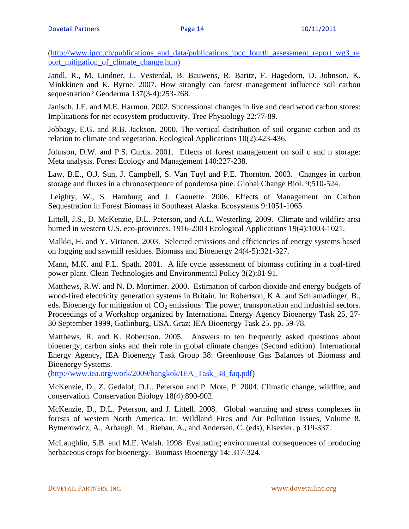(http://www.ipcc.ch/publications\_and\_data/publications\_ipcc\_fourth\_assessment\_report\_wg3\_re port mitigation of climate change.htm)

Jandl, R., M. Lindner, L. Vesterdal, B. Bauwens, R. Baritz, F. Hagedorn, D. Johnson, K. Minkkinen and K. Byrne. 2007. How strongly can forest management influence soil carbon sequestration? Geoderma 137(3-4):253-268.

Janisch, J.E. and M.E. Harmon. 2002. Successional changes in live and dead wood carbon stores: Implications for net ecosystem productivity. Tree Physiology 22:77-89.

Jobbagy, E.G. and R.B. Jackson. 2000. The vertical distribution of soil organic carbon and its relation to climate and vegetation. Ecological Applications 10(2):423-436.

Johnson, D.W. and P.S. Curtis. 2001. Effects of forest management on soil c and n storage: Meta analysis. Forest Ecology and Management 140:227-238.

Law, B.E., O.J. Sun, J. Campbell, S. Van Tuyl and P.E. Thornton. 2003. Changes in carbon storage and fluxes in a chronosequence of ponderosa pine. Global Change Biol. 9:510-524.

Leighty, W., S. Hamburg and J. Caouette. 2006. Effects of Management on Carbon Sequestration in Forest Biomass in Southeast Alaska. Ecosystems 9:1051-1065.

Littell, J.S., D. McKenzie, D.L. Peterson, and A.L. Westerling. 2009. Climate and wildfire area burned in western U.S. eco-provinces. 1916-2003 Ecological Applications 19(4):1003-1021.

Malkki, H. and Y. Virtanen. 2003. Selected emissions and efficiencies of energy systems based on logging and sawmill residues. Biomass and Bioenergy 24(4-5):321-327.

Mann, M.K. and P.L. Spath. 2001. A life cycle assessment of biomass cofiring in a coal-fired power plant. Clean Technologies and Environmental Policy 3(2):81-91.

Matthews, R.W. and N. D. Mortimer. 2000. Estimation of carbon dioxide and energy budgets of wood-fired electricity generation systems in Britain. In: Robertson, K.A. and Schlamadinger, B., eds. Bioenergy for mitigation of CO<sub>2</sub> emissions: The power, transportation and industrial sectors. Proceedings of a Workshop organized by International Energy Agency Bioenergy Task 25, 27- 30 September 1999, Gatlinburg, USA. Graz: IEA Bioenergy Task 25. pp. 59-78.

Matthews, R. and K. Robertson. 2005. Answers to ten frequently asked questions about bioenergy, carbon sinks and their role in global climate changes (Second edition). International Energy Agency, IEA Bioenergy Task Group 38: Greenhouse Gas Balances of Biomass and Bioenergy Systems.

(http://www.iea.org/work/2009/bangkok/IEA\_Task\_38\_faq.pdf)

McKenzie, D., Z. Gedalof, D.L. Peterson and P. Mote, P. 2004. Climatic change, wildfire, and conservation. Conservation Biology 18(4):890-902.

McKenzie, D., D.L. Peterson, and J. Littell. 2008. Global warming and stress complexes in forests of western North America. In: Wildland Fires and Air Pollution Issues*,* Volume 8*.* Bytnerowicz, A., Arbaugh, M., Riebau, A., and Andersen, C. (eds), Elsevier. p 319-337.

McLaughlin, S.B. and M.E. Walsh. 1998. Evaluating environmental consequences of producing herbaceous crops for bioenergy. Biomass Bioenergy 14: 317-324.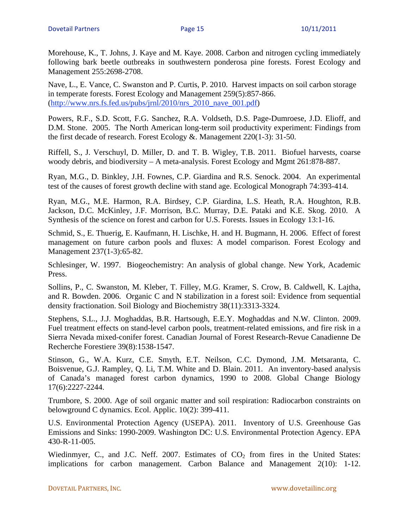Morehouse, K., T. Johns, J. Kaye and M. Kaye. 2008. Carbon and nitrogen cycling immediately following bark beetle outbreaks in southwestern ponderosa pine forests. Forest Ecology and Management 255:2698-2708.

Nave, L., E. Vance, C. Swanston and P. Curtis, P. 2010. Harvest impacts on soil carbon storage in temperate forests. Forest Ecology and Management 259(5):857-866.  $(http://www.nrs.fs.fed.us/pubs/irnl/2010/nrs$  2010 nave 001.pdf)

Powers, R.F., S.D. Scott, F.G. Sanchez, R.A. Voldseth, D.S. Page-Dumroese, J.D. Elioff, and D.M. Stone. 2005. The North American long-term soil productivity experiment: Findings from the first decade of research. Forest Ecology &. Management 220(1-3): 31-50.

Riffell, S., J. Verschuyl, D. Miller, D. and T. B. Wigley, T.B. 2011. Biofuel harvests, coarse woody debris, and biodiversity – A meta-analysis. Forest Ecology and Mgmt 261:878-887.

Ryan, M.G., D. Binkley, J.H. Fownes, C.P. Giardina and R.S. Senock. 2004. An experimental test of the causes of forest growth decline with stand age. Ecological Monograph 74:393-414.

Ryan, M.G., M.E. Harmon, R.A. Birdsey, C.P. Giardina, L.S. Heath, R.A. Houghton, R.B. Jackson, D.C. McKinley, J.F. Morrison, B.C. Murray, D.E. Pataki and K.E. Skog. 2010. A Synthesis of the science on forest and carbon for U.S. Forests. Issues in Ecology 13:1-16.

Schmid, S., E. Thuerig, E. Kaufmann, H. Lischke, H. and H. Bugmann, H. 2006. Effect of forest management on future carbon pools and fluxes: A model comparison. Forest Ecology and Management 237(1-3):65-82.

Schlesinger, W. 1997. Biogeochemistry: An analysis of global change. New York, Academic Press.

Sollins, P., C. Swanston, M. Kleber, T. Filley, M.G. Kramer, S. Crow, B. Caldwell, K. Lajtha, and R. Bowden. 2006. Organic C and N stabilization in a forest soil: Evidence from sequential density fractionation. Soil Biology and Biochemistry 38(11):3313-3324.

Stephens, S.L., J.J. Moghaddas, B.R. Hartsough, E.E.Y. Moghaddas and N.W. Clinton. 2009. Fuel treatment effects on stand-level carbon pools, treatment-related emissions, and fire risk in a Sierra Nevada mixed-conifer forest. Canadian Journal of Forest Research-Revue Canadienne De Recherche Forestiere 39(8):1538-1547.

Stinson, G., W.A. Kurz, C.E. Smyth, E.T. Neilson, C.C. Dymond, J.M. Metsaranta, C. Boisvenue, G.J. Rampley, Q. Li, T.M. White and D. Blain. 2011. An inventory-based analysis of Canada's managed forest carbon dynamics, 1990 to 2008. Global Change Biology 17(6):2227-2244.

Trumbore, S. 2000. Age of soil organic matter and soil respiration: Radiocarbon constraints on belowground C dynamics. Ecol. Applic. 10(2): 399-411.

U.S. Environmental Protection Agency (USEPA). 2011. Inventory of U.S. Greenhouse Gas Emissions and Sinks: 1990-2009. Washington DC: U.S. Environmental Protection Agency. EPA 430-R-11-005.

Wiedinmyer, C., and J.C. Neff. 2007. Estimates of  $CO<sub>2</sub>$  from fires in the United States: implications for carbon management. Carbon Balance and Management 2(10): 1-12.